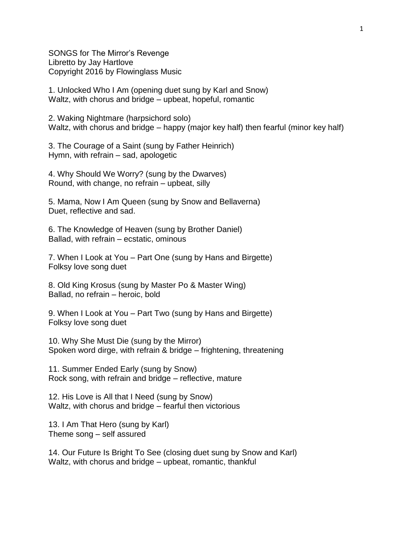SONGS for The Mirror's Revenge Libretto by Jay Hartlove Copyright 2016 by Flowinglass Music

1. Unlocked Who I Am (opening duet sung by Karl and Snow) Waltz, with chorus and bridge – upbeat, hopeful, romantic

2. Waking Nightmare (harpsichord solo) Waltz, with chorus and bridge – happy (major key half) then fearful (minor key half)

3. The Courage of a Saint (sung by Father Heinrich) Hymn, with refrain – sad, apologetic

4. Why Should We Worry? (sung by the Dwarves) Round, with change, no refrain – upbeat, silly

5. Mama, Now I Am Queen (sung by Snow and Bellaverna) Duet, reflective and sad.

6. The Knowledge of Heaven (sung by Brother Daniel) Ballad, with refrain – ecstatic, ominous

7. When I Look at You – Part One (sung by Hans and Birgette) Folksy love song duet

8. Old King Krosus (sung by Master Po & Master Wing) Ballad, no refrain – heroic, bold

9. When I Look at You – Part Two (sung by Hans and Birgette) Folksy love song duet

10. Why She Must Die (sung by the Mirror) Spoken word dirge, with refrain & bridge – frightening, threatening

11. Summer Ended Early (sung by Snow) Rock song, with refrain and bridge – reflective, mature

12. His Love is All that I Need (sung by Snow) Waltz, with chorus and bridge – fearful then victorious

13. I Am That Hero (sung by Karl) Theme song – self assured

14. Our Future Is Bright To See (closing duet sung by Snow and Karl) Waltz, with chorus and bridge – upbeat, romantic, thankful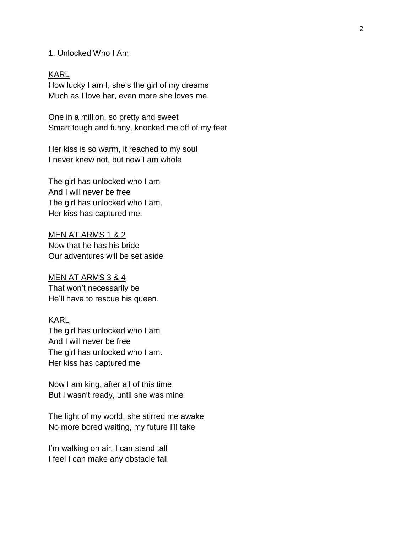### 1. Unlocked Who I Am

### KARL

How lucky I am I, she's the girl of my dreams Much as I love her, even more she loves me.

One in a million, so pretty and sweet Smart tough and funny, knocked me off of my feet.

Her kiss is so warm, it reached to my soul I never knew not, but now I am whole

The girl has unlocked who I am And I will never be free The girl has unlocked who I am. Her kiss has captured me.

MEN AT ARMS 1 & 2 Now that he has his bride Our adventures will be set aside

#### MEN AT ARMS 3 & 4

That won't necessarily be He'll have to rescue his queen.

# KARL

The girl has unlocked who I am And I will never be free The girl has unlocked who I am. Her kiss has captured me

Now I am king, after all of this time But I wasn't ready, until she was mine

The light of my world, she stirred me awake No more bored waiting, my future I'll take

I'm walking on air, I can stand tall I feel I can make any obstacle fall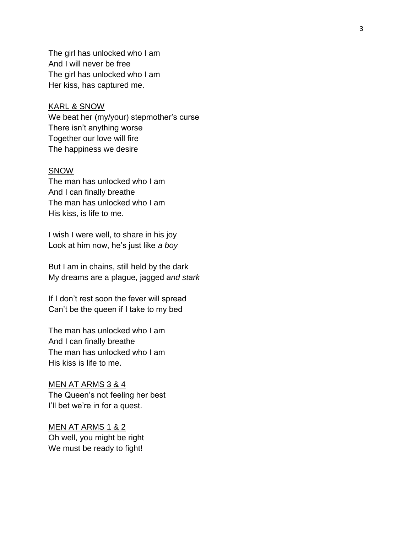The girl has unlocked who I am And I will never be free The girl has unlocked who I am Her kiss, has captured me.

### KARL & SNOW

We beat her (my/your) stepmother's curse There isn't anything worse Together our love will fire The happiness we desire

### SNOW

The man has unlocked who I am And I can finally breathe The man has unlocked who I am His kiss, is life to me.

I wish I were well, to share in his joy Look at him now, he's just like *a boy*

But I am in chains, still held by the dark My dreams are a plague, jagged *and stark*

If I don't rest soon the fever will spread Can't be the queen if I take to my bed

The man has unlocked who I am And I can finally breathe The man has unlocked who I am His kiss is life to me.

# MEN AT ARMS 3 & 4 The Queen's not feeling her best

I'll bet we're in for a quest.

MEN AT ARMS 1 & 2 Oh well , you might be right We must be ready to fight!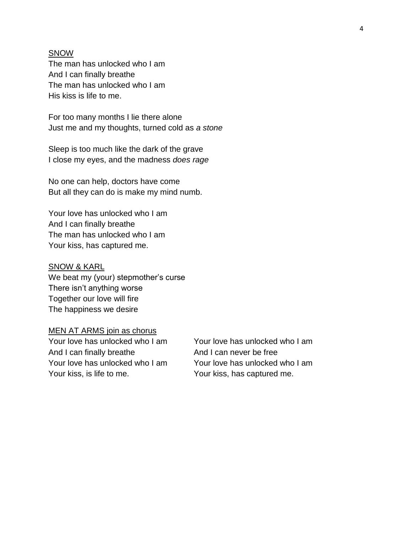### **SNOW**

The man has unlocked who I am And I can finally breathe The man has unlocked who I am His kiss is life to me.

For too many months I lie there alone Just me and my thoughts, turned cold as *a stone*

Sleep is too much like the dark of the grave I close my eyes, and the madness *does rage*

No one can help, doctors have come But all they can do is make my mind numb.

Your love has unlocked who I am And I can finally breathe The man has unlocked who I am Your kiss, has captured me.

### SNOW & KARL

We beat my (your) stepmother's curse There isn't anything worse Together our love will fire The happiness we desire

# MEN AT ARMS join as chorus

Your love has unlocked who I am Your love has unlocked who I am And I can finally breathe And I can never be free Your kiss, is life to me. Your kiss, has captured me.

Your love has unlocked who I am Your love has unlocked who I am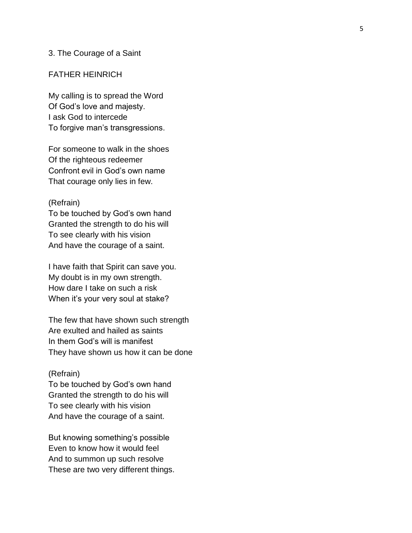### 3. The Courage of a Saint

### FATHER HEINRICH

My calling is to spread the Word Of God's love and majesty. I ask God to intercede To forgive man's transgressions.

For someone to walk in the shoes Of the righteous redeemer Confront evil in God's own name That courage only lies in few.

#### (Refrain)

To be touched by God's own hand Granted the strength to do his will To see clearly with his vision And have the courage of a saint.

I have faith that Spirit can save you. My doubt is in my own strength. How dare I take on such a risk When it's your very soul at stake?

The few that have shown such strength Are exulted and hailed as saints In them God's will is manifest They have shown us how it can be done

## (Refrain)

To be touched by God's own hand Granted the strength to do his will To see clearly with his vision And have the courage of a saint.

But knowing something's possible Even to know how it would feel And to summon up such resolve These are two very different things.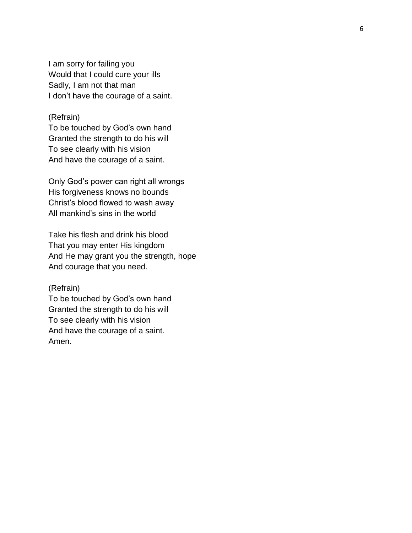I am sorry for failing you Would that I could cure your ills Sadly, I am not that man I don't have the courage of a saint.

### (Refrain)

To be touched by God's own hand Granted the strength to do his will To see clearly with his vision And have the courage of a saint.

Only God's power can right all wrongs His forgiveness knows no bounds Christ's blood flowed to wash away All mankind's sins in the world

Take his flesh and drink his blood That you may enter His kingdom And He may grant you the strength, hope And courage that you need.

#### (Refrain)

To be touched by God's own hand Granted the strength to do his will To see clearly with his vision And have the courage of a saint. Amen.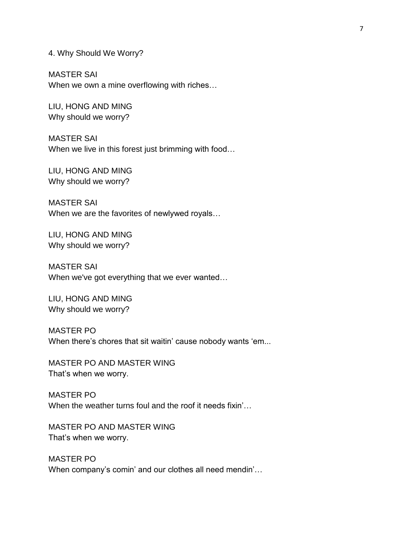4. Why Should We Worry?

MASTER SAI When we own a mine overflowing with riches…

LIU, HONG AND MING Why should we worry?

MASTER SAI When we live in this forest just brimming with food…

LIU, HONG AND MING Why should we worry?

MASTER SAI When we are the favorites of newlywed royals…

LIU, HONG AND MING Why should we worry?

MASTER SAI When we've got everything that we ever wanted…

LIU, HONG AND MING Why should we worry?

MASTER PO When there's chores that sit waitin' cause nobody wants 'em...

MASTER PO AND MASTER WING That's when we worry.

MASTER PO When the weather turns foul and the roof it needs fixin'...

MASTER PO AND MASTER WING That's when we worry.

MASTER PO When company's comin' and our clothes all need mendin'…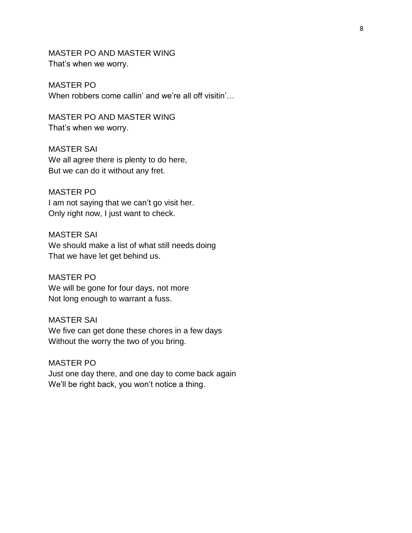MASTER PO AND MASTER WING That's when we worry.

MASTER PO When robbers come callin' and we're all off visitin'…

MASTER PO AND MASTER WING That's when we worry.

MASTER SAI We all agree there is plenty to do here, But we can do it without any fret.

MASTER PO I am not saying that we can't go visit her. Only right now, I just want to check.

MASTER SAI We should make a list of what still needs doing That we have let get behind us.

MASTER PO We will be gone for four days, not more Not long enough to warrant a fuss.

MASTER SAI We five can get done these chores in a few days Without the worry the two of you bring.

MASTER PO Just one day there, and one day to come back again We'll be right back, you won't notice a thing.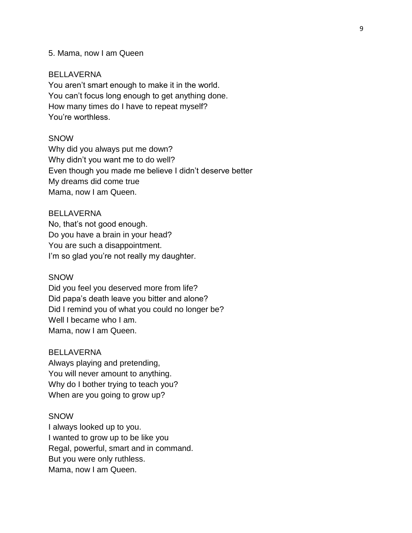### 5. Mama, now I am Queen

### BELLAVERNA

You aren't smart enough to make it in the world. You can't focus long enough to get anything done. How many times do I have to repeat myself? You're worthless.

# **SNOW**

Why did you always put me down? Why didn't you want me to do well? Even though you made me believe I didn't deserve better My dreams did come true Mama, now I am Queen.

### BELLAVERNA

No, that's not good enough. Do you have a brain in your head? You are such a disappointment. I'm so glad you're not really my daughter.

### **SNOW**

Did you feel you deserved more from life? Did papa's death leave you bitter and alone? Did I remind you of what you could no longer be? Well I became who I am. Mama, now I am Queen.

### BELLAVERNA

Always playing and pretending, You will never amount to anything. Why do I bother trying to teach you? When are you going to grow up?

#### **SNOW**

I always looked up to you. I wanted to grow up to be like you Regal, powerful, smart and in command. But you were only ruthless. Mama, now I am Queen.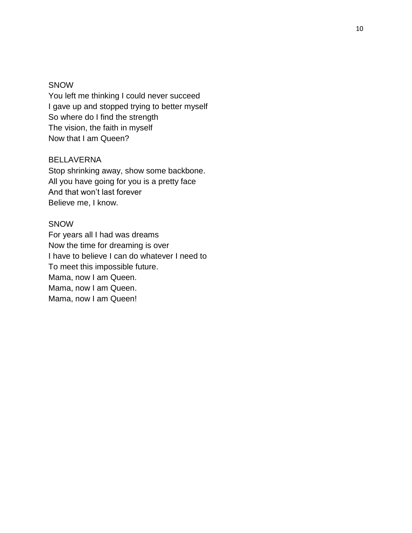### **SNOW**

You left me thinking I could never succeed I gave up and stopped trying to better myself So where do I find the strength The vision, the faith in myself Now that I am Queen?

# BELLAVERNA

Stop shrinking away, show some backbone. All you have going for you is a pretty face And that won't last forever Believe me, I know.

### SNOW

For years all I had was dreams Now the time for dreaming is over I have to believe I can do whatever I need to To meet this impossible future. Mama, now I am Queen. Mama, now I am Queen. Mama, now I am Queen!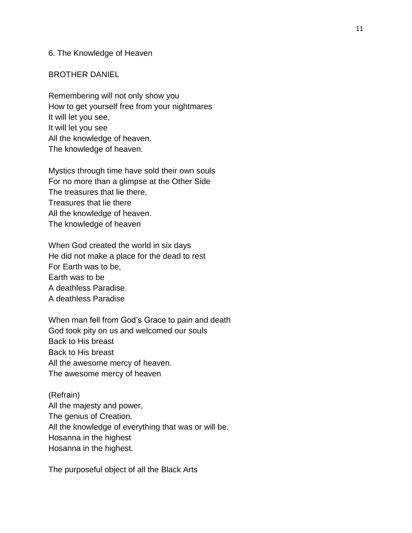### 6. The Knowledge of Heaven

### BROTHER DANIEL

Remembering will not only show you How to get yourself free from your nightmares It will let you see, It will let you see All the knowledge of heaven. The knowledge of heaven.

Mystics through time have sold their own souls For no more than a glimpse at the Other Side The treasures that lie there, Treasures that lie there All the knowledge of heaven. The knowledge of heaven

When God created the world in six days He did not make a place for the dead to rest For Earth was to be, Earth was to be A deathless Paradise. A deathless Paradise

When man fell from God's Grace to pain and death God took pity on us and welcomed our souls Back to His breast Back to His breast All the awesome mercy of heaven. The awesome mercy of heaven

(Refrain) All the majesty and power, The genius of Creation. All the knowledge of everything that was or will be. Hosanna in the highest Hosanna in the highest.

The purposeful object of all the Black Arts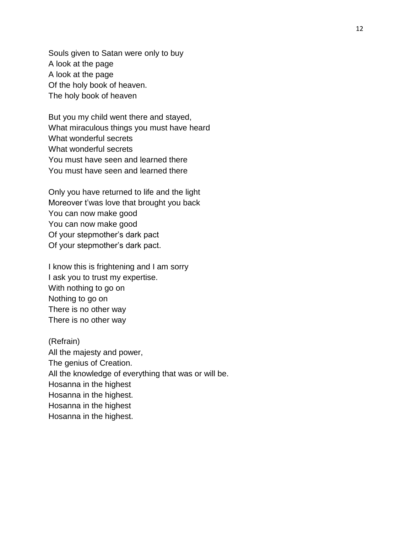Souls given to Satan were only to buy A look at the page A look at the page Of the holy book of heaven. The holy book of heaven

But you my child went there and stayed, What miraculous things you must have heard What wonderful secrets What wonderful secrets You must have seen and learned there You must have seen and learned there

Only you have returned to life and the light Moreover t'was love that brought you back You can now make good You can now make good Of your stepmother's dark pact Of your stepmother's dark pact.

I know this is frightening and I am sorry I ask you to trust my expertise. With nothing to go on Nothing to go on There is no other way There is no other way

(Refrain) All the majesty and power, The genius of Creation. All the knowledge of everything that was or will be. Hosanna in the highest Hosanna in the highest. Hosanna in the highest Hosanna in the highest.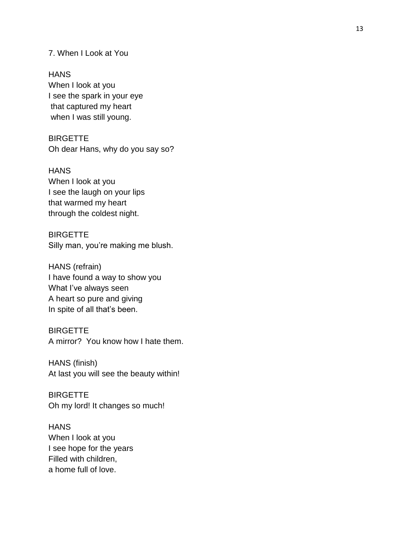7. When I Look at You

**HANS** When I look at you I see the spark in your eye that captured my heart when I was still young.

**BIRGETTE** Oh dear Hans, why do you say so?

**HANS** When I look at you I see the laugh on your lips that warmed my heart through the coldest night.

# **BIRGETTE** Silly man, you're making me blush.

HANS (refrain) I have found a way to show you What I've always seen A heart so pure and giving In spite of all that's been .

# **BIRGETTE**

A mirror? You know how I hate them.

HANS (finish) At last you will see the beauty within!

**BIRGETTE** Oh my lord! It changes so much!

**HANS** When I look at you I see hope for the years Filled with children, a home full of love.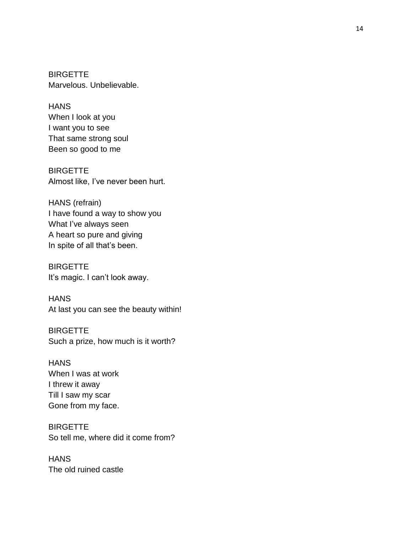**BIRGETTE** Marvelous. Unbelievable.

**HANS** When I look at you I want you to see That same strong soul Been so good to me

**BIRGETTE** Almost like, I've never been hurt.

HANS (refrain) I have found a way to show you What I 've always seen A heart so pure and giving In spite of all that's been.

**BIRGETTE** It's magic. I can't look away.

**HANS** At last you can see the beauty within!

**BIRGETTE** Such a prize, how much is it worth?

**HANS** When I was at work I threw it away Till I saw my scar Gone from my face.

**BIRGETTE** So tell me, where did it come from? HANS

The old ruined castle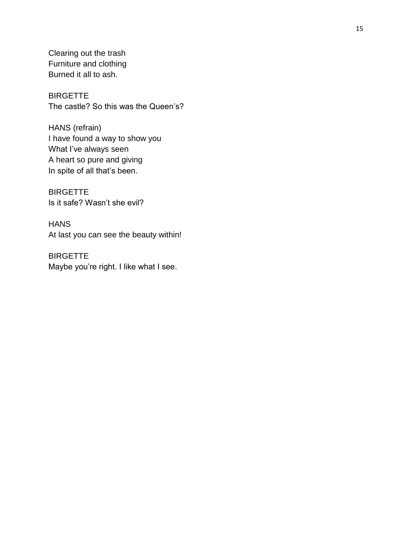Clearing out the trash Furniture and clothing Burned it all to ash.

**BIRGETTE** The castle? So this was the Queen's?

HANS (refrain) I have found a way to show you What I've always seen A heart so pure and giving In spite of all that's been.

**BIRGETTE** Is it safe? Wasn't she evil?

**HANS** At last you can see the beauty within!

**BIRGETTE** Maybe you're right. I like what I see.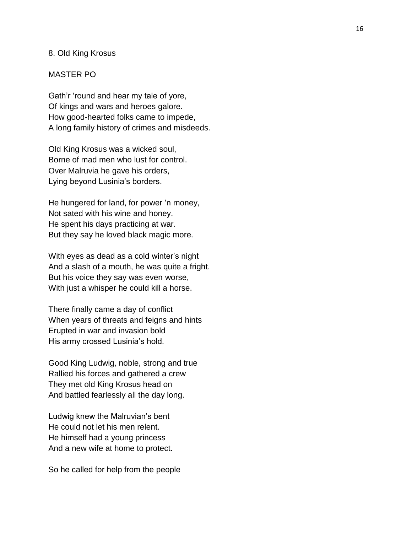### 8. Old King Krosus

### MASTER PO

Gath'r 'round and hear my tale of yore, Of kings and wars and heroes galore. How good-hearted folks came to impede, A long family history of crimes and misdeeds.

Old King Krosus was a wicked soul, Borne of mad men who lust for control. Over Malruvia he gave his orders, Lying beyond Lusinia's borders.

He hungered for land, for power 'n money, Not sated with his wine and honey. He spent his days practicing at war. But they say he loved black magic more.

With eyes as dead as a cold winter's night And a slash of a mouth, he was quite a fright. But his voice they say was even worse, With just a whisper he could kill a horse.

There finally came a day of conflict When years of threats and feigns and hints Erupted in war and invasion bold His army crossed Lusinia's hold.

Good King Ludwig, noble, strong and true Rallied his forces and gathered a crew They met old King Krosus head on And battled fearlessly all the day long.

Ludwig knew the Malruvian's bent He could not let his men relent. He himself had a young princess And a new wife at home to protect.

So he called for help from the people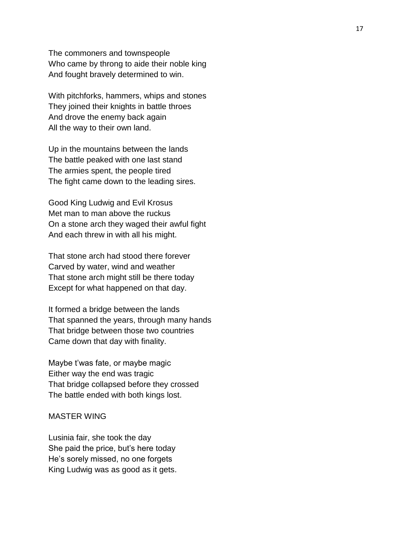The commoners and townspeople Who came by throng to aide their noble king And fought bravely determined to win .

With pitchforks, hammers, whips and stones They joined their knights in battle throes And drove the enemy back again All the way to their own land.

Up in the mountains between the lands The battle peaked with one last stand The armies spent, the people tired The fight came down to the leading sires.

Good King Ludwig and Evil Krosus Met man to man above the ruckus On a stone arch they waged their awful fight And each threw in with all his might.

That stone arch had stood there forever Carved by water, wind and weather That stone arch might still be there today Except for what happened on that day.

It formed a bridge between the lands That spanned the years, through many hands That bridge between those two countries Came down that day with finality.

Maybe t'was fate, or maybe magic Either way the end was tragic That bridge collapsed before they crossed The battle ended with both kings lost.

### MASTER WING

Lusinia fair, she took the day She paid the price, but's here today He's sorely missed, no one forgets King Ludwig was as good as it gets .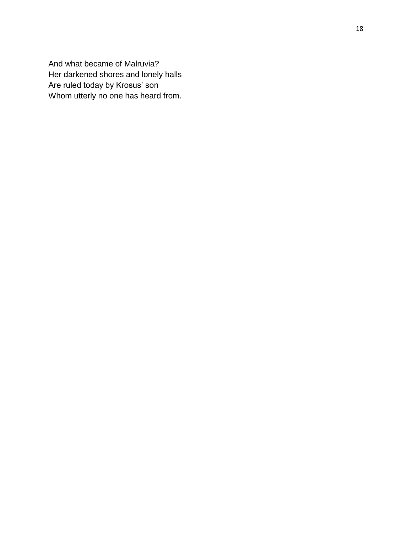And what became of Malruvia? Her darkened shores and lonely halls Are ruled today by Krosus' so n Whom utterly no one has heard from.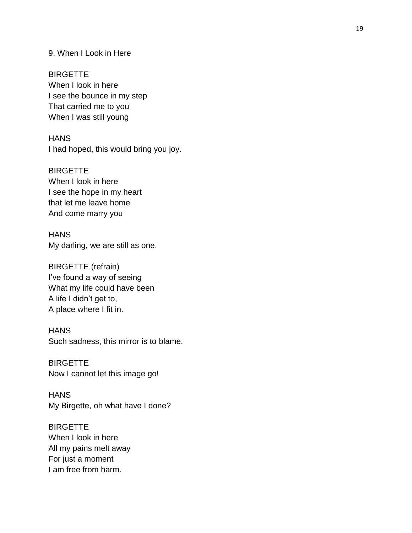# 9. When I Look in Here

**BIRGETTE** When I look in here I see the bounce in my step That carried me to you When I was still young

**HANS** I had hoped, this would bring you joy.

**BIRGETTE** When I look in here I see the hope in my heart that let me leave home And come marry you

**HANS** My darling, we are still as one.

BIRGETTE (refrain) I've found a way of seeing What my life could have been A life I didn't get to, A place where I fit in.

# **HANS** Such sadness, this mirror is to blame.

**BIRGETTE** Now I cannot let this image go!

**HANS** My Birgette, oh what have I done?

**BIRGETTE** When I look in here All my pains melt away For just a moment I am free from harm.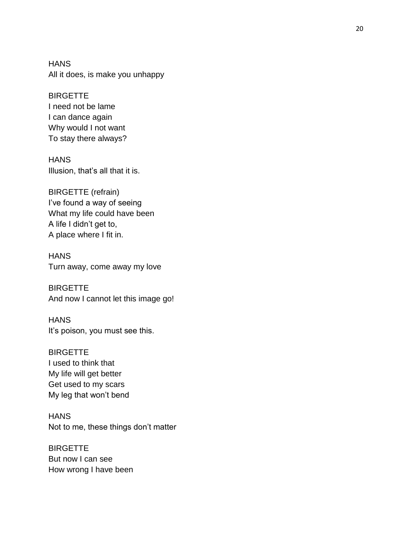**HANS** All it does, is make you unhappy

**BIRGETTE** I need not be lame I can dance again Why would I not want To stay there always?

**HANS** Illusion, that's all that it is.

BIRGETTE (refrain) I've found a way of seeing What my life could have been A life I didn't get to, A place where I fit in.

**HANS** Turn away, come away my love

**BIRGETTE** And now I cannot let this image go!

**HANS** It's poison, you must see this.

**BIRGETTE** I used to think that My life will get better Get used to my scars My leg that won't bend

**HANS** Not to me, these things don't matter

**BIRGETTE** But now I can see How wrong I have been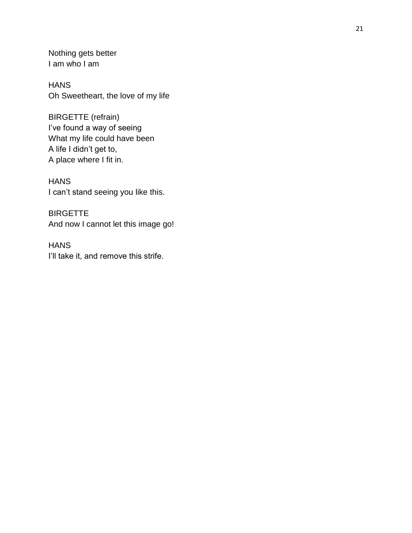Nothing gets better I am who I am

**HANS** Oh Sweetheart, the love of my life

BIRGETTE (refrain) I've found a way of seeing What my life could have been A life I didn't get to, A place where I fit in.

**HANS** I can't stand seeing you like this.

**BIRGETTE** And now I cannot let this image go!

**HANS** I'll take it, and remove this strife.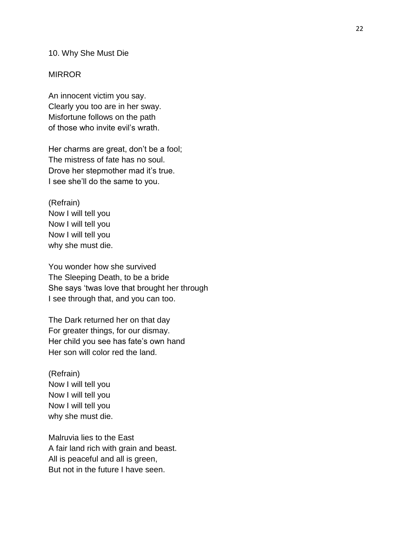### 10. Why She Must Die

### **MIRROR**

An innocent victim you say. Clearly you too are in her sway. Misfortune follows on the path of those who invite evil's wrath.

Her charms are great, don't be a fool; The mistress of fate has no soul. Drove her stepmother mad it's true. I see she'll do the same to you.

(Refrain) Now I will tell you Now I will tell you Now I will tell you why she must die.

You wonder how she survived The Sleeping Death, to be a bride She says 'twas love that brought her through I see through that, and you can too.

The Dark returned her on that day For greater things, for our dismay. Her child you see has fate's own hand Her son will color red the land.

(Refrain) Now I will tell you Now I will tell you Now I will tell you why she must die.

Malruvia lies to the East A fair land rich with grain and beast. All is peaceful and all is green, But not in the future I have seen.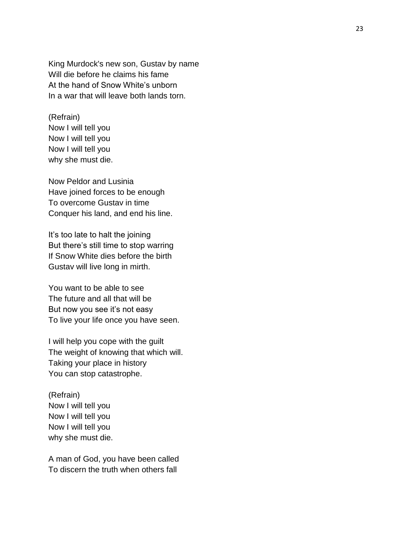King Murdock's new son, Gustav by name Will die before he claims his fame At the hand of Snow White's unborn In a war that will leave both lands torn.

# (Refrain) Now I will tell you Now I will tell you Now I will tell you why she must die.

Now Peldor and Lusinia Have joined forces to be enough To overcome Gustav in time Conquer his land, and end his line.

It's too late to halt the joining But there's still time to stop warring If Snow White dies before the birth Gustav will live long in mirth.

You want to be able to see The future and all that will be But now you see it's not easy To live your life once you have seen.

I will help you cope with the guilt The weight of knowing that which will. Taking your place in history You can stop catastrophe.

(Refrain) Now I will tell you Now I will tell you Now I will tell you why she must die.

A man of God, you have been called To discern the truth when others fall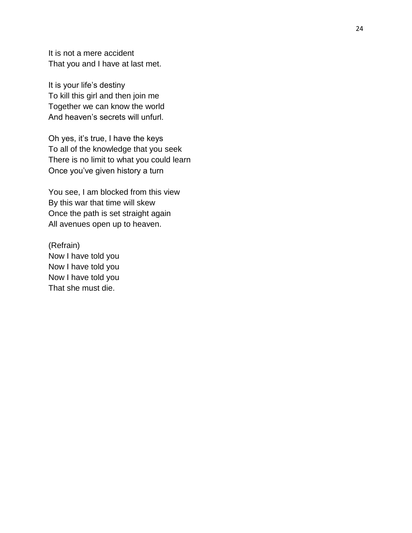It is not a mere accident That you and I have at last met.

It is your life's destiny To kill this girl and then join me Together we can know the world And heaven's secrets will unfurl.

Oh yes, it's true, I have the keys To all of the knowledge that you seek There is no limit to what you could learn Once you've given history a turn

You see, I am blocked from this view By this war that time will skew Once the path is set straight again All avenues open up to heaven.

(Refrain) Now I have told you Now I have told you Now I have told you That she must die.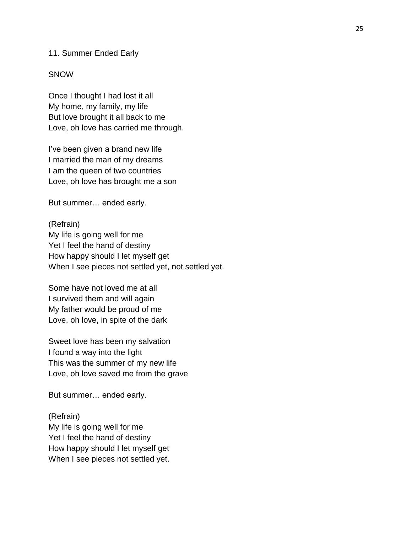#### 11. Summer Ended Early

#### SNOW

Once I thought I had lost it all My home, my family, my life But love brought it all back to me Love, oh love has carried me through.

I've been given a brand new life I married the man of my dreams I am the queen of two countries Love, oh love has brought me a son

But summer… ended early.

(Refrain) My life is going well for me Yet I feel the hand of destiny How happy should I let myself get When I see pieces not settled yet, not settled yet.

Some have not loved me at all I survived them and will again My father would be proud of me Love, oh love, in spite of the dark

Sweet love has been my salvation I found a way into the light This was the summer of my new life Love, oh love saved me from the grave

But summer… ended early.

(Refrain) My life is going well for me Yet I feel the hand of destiny How happy should I let myself get When I see pieces not settled yet.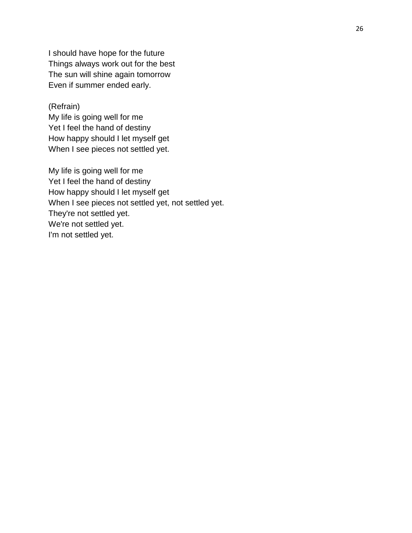I should have hope for the future Things always work out for the best The sun will shine again tomorrow Even if summer ended early.

(Refrain)

My life is going well for me Yet I feel the hand of destiny How happy should I let myself get When I see pieces not settled yet.

My life is going well for me Yet I feel the hand of destiny How happy should I let myself get When I see pieces not settled yet, not settled yet. They're not settled yet. We're not settled yet. I'm not settled yet.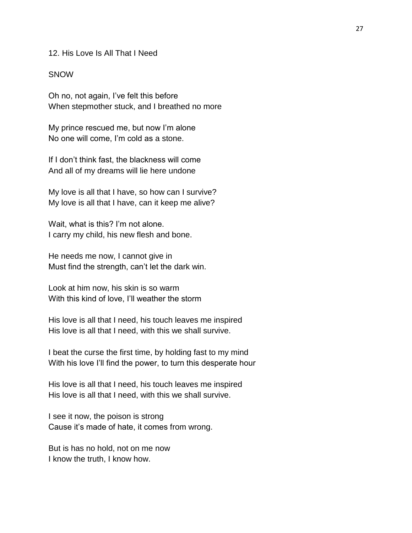12. His Love Is All That I Need

### **SNOW**

Oh no, not again, I've felt this before When stepmother stuck, and I breathed no more

My prince rescued me, but now I'm alone No one will come, I'm cold as a stone.

If I don't think fast, the blackness will come And all of my dreams will lie here undone

My love is all that I have, so how can I survive? My love is all that I have, can it keep me alive?

Wait, what is this? I'm not alone. I carry my child, his new flesh and bone.

He needs me now, I cannot give in Must find the strength, can't let the dark win.

Look at him now, his skin is so warm With this kind of love, I'll weather the storm

His love is all that I need, his touch leaves me inspired His love is all that I need, with this we shall survive.

I beat the curse the first time, by holding fast to my mind With his love I'll find the power, to turn this desperate hour

His love is all that I need, his touch leaves me inspired His love is all that I need, with this we shall survive.

I see it now, the poison is strong Cause it's made of hate, it comes from wrong.

But is has no hold, not on me now I know the truth, I know how.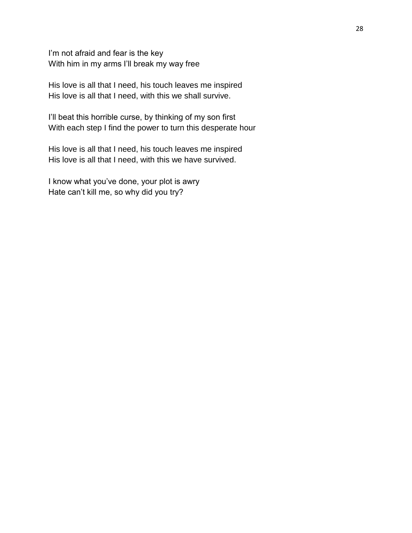I'm not afraid and fear is the key With him in my arms I'll break my way free

His love is all that I need, his touch leaves me inspired His love is all that I need, with this we shall survive.

I'll beat this horrible curse, by thinking of my son first With each step I find the power to turn this desperate hour

His love is all that I need, his touch leaves me inspired His love is all that I need, with this we have survived.

I know what you've done, your plot is awry Hate can't kill me, so why did you try?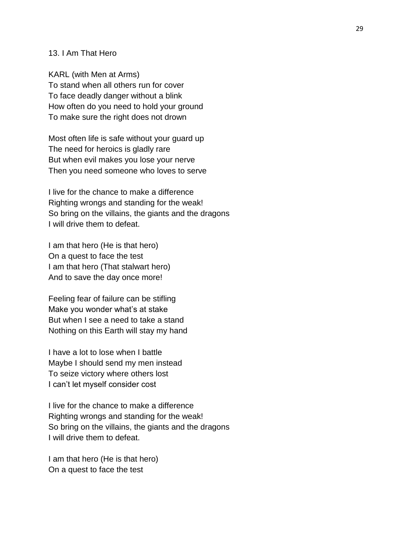### 13. I Am That Hero

KARL (with Men at Arms) To stand when all others run for cover To face deadly danger without a blink How often do you need to hold your ground To make sure the right does not drown

Most often life is safe without your guard up The need for heroics is gladly rare But when evil makes you lose your nerve Then you need someone who loves to serve

I live for the chance to make a difference Righting wrongs and standing for the weak! So bring on the villains, the giants and the dragons I will drive them to defeat.

I am that hero (He is that hero) On a quest to face the test I am that hero (That stalwart hero) And to save the day once more!

Feeling fear of failure can be stifling Make you wonder what's at stake But when I see a need to take a stand Nothing on this Earth will stay my hand

I have a lot to lose when I battle Maybe I should send my men instead To seize victory where others lost I can't let myself consider cost

I live for the chance to make a difference Righting wrongs and standing for the weak! So bring on the villains, the giants and the dragons I will drive them to defeat.

I am that hero (He is that hero) On a quest to face the test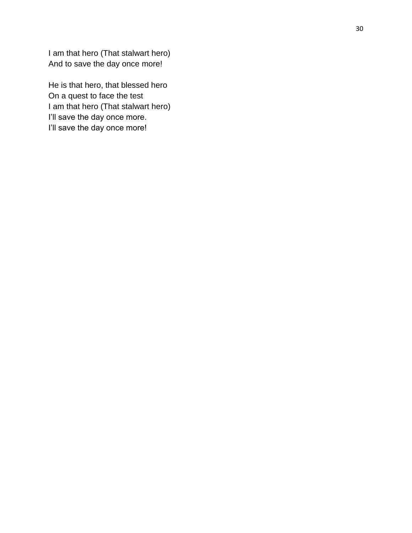I am that hero (That stalwart hero) And to save the day once more!

He is that hero, that blessed hero On a quest to face the test I am that hero (That stalwart hero) I'll save the day once more. I'll save the day once more!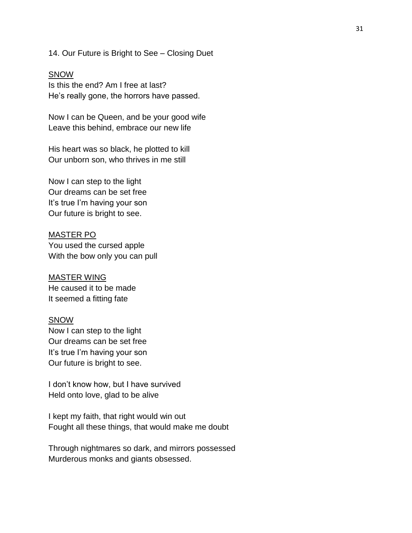### 14. Our Future is Bright to See – Closing Duet

#### **SNOW**

Is this the end? Am I free at last? He's really gone, the horrors have passed.

Now I can be Queen, and be your good wife Leave this behind, embrace our new life

His heart was so black, he plotted to kill Our unborn son, who thrives in me still

Now I can step to the light Our dreams can be set free It's true I'm having your son Our future is bright to see.

### MASTER PO

You used the cursed apple With the bow only you can pull

# MASTER WING

He caused it to be made It seemed a fitting fate

### SNOW

Now I can step to the light Our dreams can be set free It's true I'm having your son Our future is bright to see.

I don't know how, but I have survived Held onto love, glad to be alive

I kept my faith, that right would win out Fought all these things, that would make me doubt

Through nightmares so dark, and mirrors possessed Murderous monks and giants obsessed.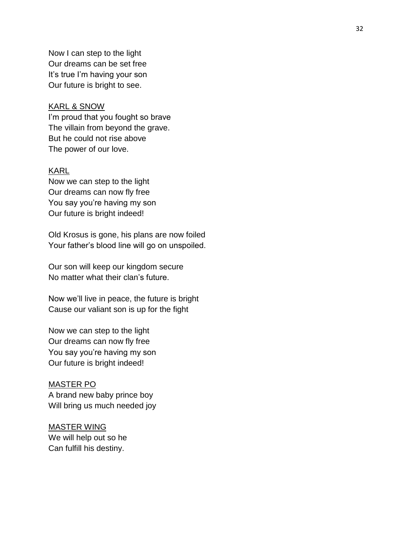Now I can step to the light Our dreams can be set free It's true I'm having your son Our future is bright to see.

### KARL & SNOW

I'm proud that you fought so brave The villain from beyond the grave. But he could not rise above The power of our love.

### KARL

Now we can step to the light Our dreams can now fly free You say you're having my son Our future is bright indeed!

Old Krosus is gone, his plans are now foiled Your father's blood line will go on unspoiled.

Our son will keep our kingdom secure No matter what their clan's future .

Now we'll live in peace, the future is bright Cause our valiant son is up for the fight

Now we can step to the light Our dreams can now fly free You say you're having my son Our future is bright indeed!

# MASTER PO A brand new baby prince boy Will bring us much needed joy

### MASTER WING

We will help out so he Can fulfill his destiny.